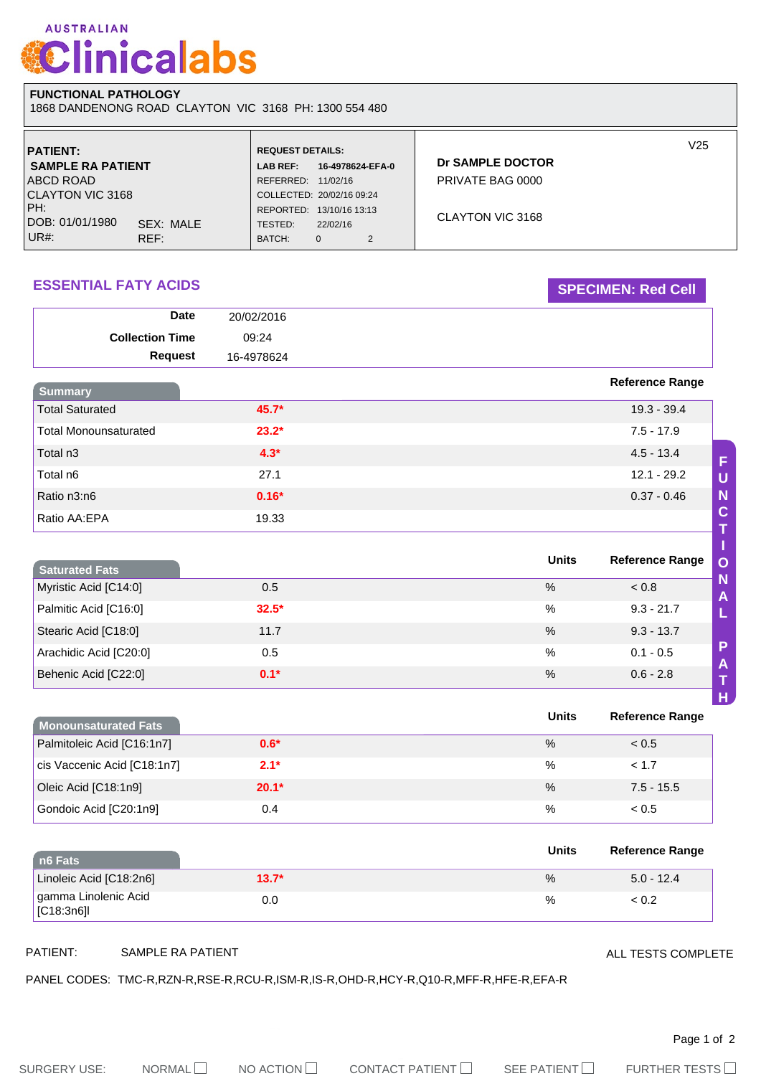# **AUSTRALIAN Clinicalabs**

## **FUNCTIONAL PATHOLOGY**

1868 DANDENONG ROAD CLAYTON VIC 3168 PH: 1300 554 480

| <b>PATIENT:</b>              | <b>REQUEST DETAILS:</b>   |                  |                | V25              |
|------------------------------|---------------------------|------------------|----------------|------------------|
| <b>SAMPLE RA PATIENT</b>     | <b>LAB REF:</b>           | 16-4978624-EFA-0 |                | Dr SAMPLE DOCTOR |
| <b>ABCD ROAD</b>             | REFERRED:                 | 11/02/16         |                | PRIVATE BAG 0000 |
| <b>CLAYTON VIC 3168</b>      | COLLECTED: 20/02/16 09:24 |                  |                |                  |
| IPH:                         | REPORTED:                 | 13/10/16 13:13   |                |                  |
| DOB: 01/01/1980<br>SEX: MALE | TESTED:                   | 22/02/16         |                | CLAYTON VIC 3168 |
| UR#:<br>REF:                 | BATCH:                    | 0                | $\overline{2}$ |                  |

## **ESSENTIAL FATY ACIDS SPECIMEN: Red Cell**

| <b>Date</b>                  | 20/02/2016 |                        |             |
|------------------------------|------------|------------------------|-------------|
| <b>Collection Time</b>       | 09:24      |                        |             |
| <b>Request</b>               | 16-4978624 |                        |             |
| <b>Summary</b>               |            | <b>Reference Range</b> |             |
| <b>Total Saturated</b>       | $45.7*$    | $19.3 - 39.4$          |             |
| <b>Total Monounsaturated</b> | $23.2*$    | $7.5 - 17.9$           |             |
| Total n3                     | $4.3*$     | $4.5 - 13.4$           | F           |
| Total n6                     | 27.1       | $12.1 - 29.2$          | $\cup$      |
| Ratio n3:n6                  | $0.16*$    | $0.37 - 0.46$          | N           |
| Ratio AA:EPA                 | 19.33      |                        | $\mathbf C$ |

| <b>Saturated Fats</b>  |         | <b>Units</b>  | <b>Reference Range</b><br>$\overline{O}$ |
|------------------------|---------|---------------|------------------------------------------|
| Myristic Acid [C14:0]  | 0.5     | %             | N<br>< 0.8<br>A                          |
| Palmitic Acid [C16:0]  | $32.5*$ | $\frac{0}{0}$ | $9.3 - 21.7$                             |
| Stearic Acid [C18:0]   | 11.7    | $\%$          | $9.3 - 13.7$                             |
| Arachidic Acid [C20:0] | 0.5     | %             | P<br>$0.1 - 0.5$<br>$\mathsf{A}$         |
| Behenic Acid [C22:0]   | $0.1*$  | $\%$          | $0.6 - 2.8$                              |

| Monounsaturated Fats        |         | Units | <b>Reference Range</b> |
|-----------------------------|---------|-------|------------------------|
| Palmitoleic Acid [C16:1n7]  | $0.6*$  | $\%$  | < 0.5                  |
| cis Vaccenic Acid [C18:1n7] | $2.1*$  | $\%$  | < 1.7                  |
| Oleic Acid [C18:1n9]        | $20.1*$ | $\%$  | $7.5 - 15.5$           |
| Gondoic Acid [C20:1n9]      | 0.4     | %     | < 0.5                  |

| n6 Fats                            |         | <b>Units</b> | <b>Reference Range</b> |
|------------------------------------|---------|--------------|------------------------|
| Linoleic Acid [C18:2n6]            | $13.7*$ | $\%$         | $5.0 - 12.4$           |
| I gamma Linolenic Acid<br> C18:3n6 | 0.0     | %            | ~< 0.2                 |

PATIENT: SAMPLE RA PATIENT

ALL TESTS COMPLETE

PANEL CODES: TMC-R,RZN-R,RSE-R,RCU-R,ISM-R,IS-R,OHD-R,HCY-R,Q10-R,MFF-R,HFE-R,EFA-R

Page 1 of 2

**H**